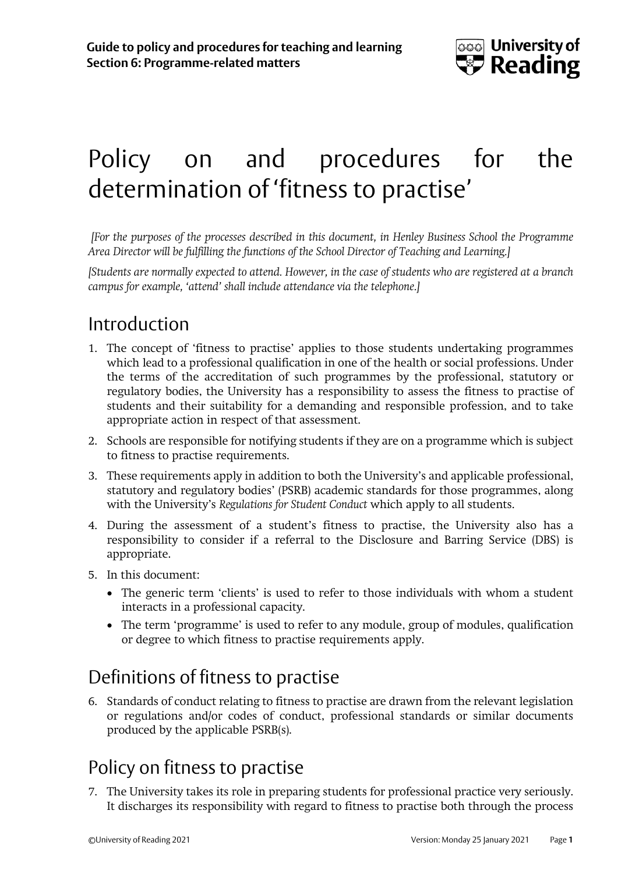

# Policy on and procedures for the determination of 'fitness to practise'

*[For the purposes of the processes described in this document, in Henley Business School the Programme Area Director will be fulfilling the functions of the School Director of Teaching and Learning.]*

*[Students are normally expected to attend. However, in the case of students who are registered at a branch campus for example, 'attend' shall include attendance via the telephone.]*

# Introduction

- 1. The concept of 'fitness to practise' applies to those students undertaking programmes which lead to a professional qualification in one of the health or social professions. Under the terms of the accreditation of such programmes by the professional, statutory or regulatory bodies, the University has a responsibility to assess the fitness to practise of students and their suitability for a demanding and responsible profession, and to take appropriate action in respect of that assessment.
- 2. Schools are responsible for notifying students if they are on a programme which is subject to fitness to practise requirements.
- 3. These requirements apply in addition to both the University's and applicable professional, statutory and regulatory bodies' (PSRB) academic standards for those programmes, along with the University's *Regulations for Student Conduct* which apply to all students.
- 4. During the assessment of a student's fitness to practise, the University also has a responsibility to consider if a referral to the Disclosure and Barring Service (DBS) is appropriate.
- 5. In this document:
	- The generic term 'clients' is used to refer to those individuals with whom a student interacts in a professional capacity.
	- The term 'programme' is used to refer to any module, group of modules, qualification or degree to which fitness to practise requirements apply.

### Definitions of fitness to practise

6. Standards of conduct relating to fitness to practise are drawn from the relevant legislation or regulations and/or codes of conduct, professional standards or similar documents produced by the applicable PSRB(s).

# Policy on fitness to practise

7. The University takes its role in preparing students for professional practice very seriously. It discharges its responsibility with regard to fitness to practise both through the process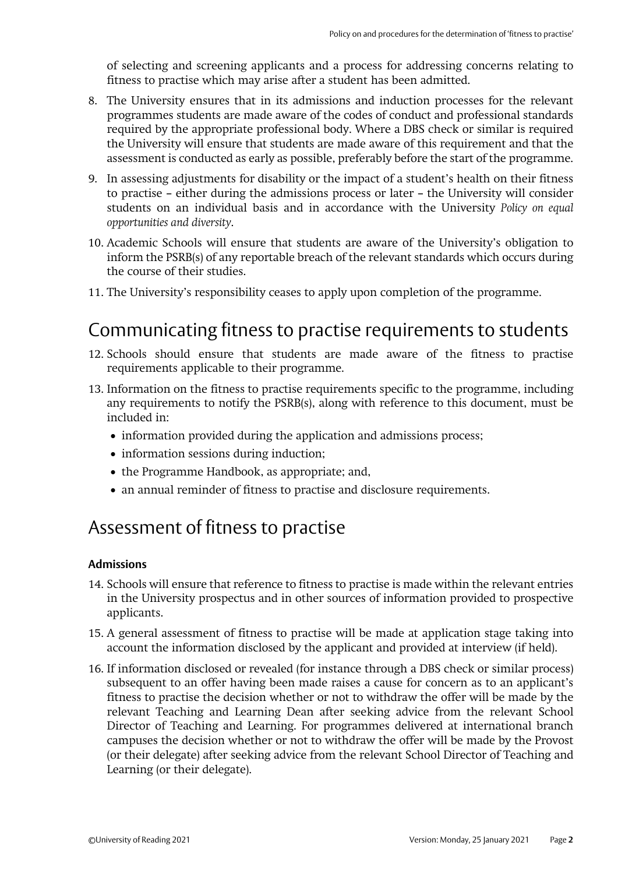of selecting and screening applicants and a process for addressing concerns relating to fitness to practise which may arise after a student has been admitted.

- 8. The University ensures that in its admissions and induction processes for the relevant programmes students are made aware of the codes of conduct and professional standards required by the appropriate professional body. Where a DBS check or similar is required the University will ensure that students are made aware of this requirement and that the assessment is conducted as early as possible, preferably before the start of the programme.
- 9. In assessing adjustments for disability or the impact of a student's health on their fitness to practise – either during the admissions process or later – the University will consider students on an individual basis and in accordance with the University *Policy on equal opportunities and diversity*.
- 10. Academic Schools will ensure that students are aware of the University's obligation to inform the PSRB(s) of any reportable breach of the relevant standards which occurs during the course of their studies.
- 11. The University's responsibility ceases to apply upon completion of the programme.

# Communicating fitness to practise requirements to students

- 12. Schools should ensure that students are made aware of the fitness to practise requirements applicable to their programme.
- 13. Information on the fitness to practise requirements specific to the programme, including any requirements to notify the PSRB(s), along with reference to this document, must be included in:
	- information provided during the application and admissions process;
	- information sessions during induction;
	- the Programme Handbook, as appropriate; and,
	- an annual reminder of fitness to practise and disclosure requirements.

### Assessment of fitness to practise

#### **Admissions**

- 14. Schools will ensure that reference to fitness to practise is made within the relevant entries in the University prospectus and in other sources of information provided to prospective applicants.
- 15. A general assessment of fitness to practise will be made at application stage taking into account the information disclosed by the applicant and provided at interview (if held).
- 16. If information disclosed or revealed (for instance through a DBS check or similar process) subsequent to an offer having been made raises a cause for concern as to an applicant's fitness to practise the decision whether or not to withdraw the offer will be made by the relevant Teaching and Learning Dean after seeking advice from the relevant School Director of Teaching and Learning. For programmes delivered at international branch campuses the decision whether or not to withdraw the offer will be made by the Provost (or their delegate) after seeking advice from the relevant School Director of Teaching and Learning (or their delegate).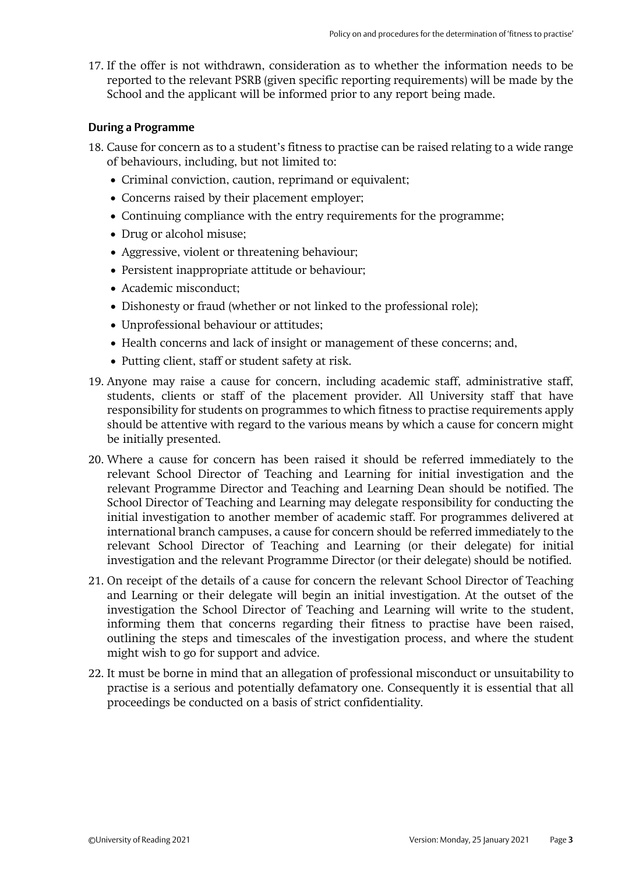17. If the offer is not withdrawn, consideration as to whether the information needs to be reported to the relevant PSRB (given specific reporting requirements) will be made by the School and the applicant will be informed prior to any report being made.

#### **During a Programme**

- 18. Cause for concern as to a student's fitness to practise can be raised relating to a wide range of behaviours, including, but not limited to:
	- Criminal conviction, caution, reprimand or equivalent;
	- Concerns raised by their placement employer;
	- Continuing compliance with the entry requirements for the programme;
	- Drug or alcohol misuse;
	- Aggressive, violent or threatening behaviour;
	- Persistent inappropriate attitude or behaviour;
	- Academic misconduct;
	- Dishonesty or fraud (whether or not linked to the professional role);
	- Unprofessional behaviour or attitudes;
	- Health concerns and lack of insight or management of these concerns; and,
	- Putting client, staff or student safety at risk.
- 19. Anyone may raise a cause for concern, including academic staff, administrative staff, students, clients or staff of the placement provider. All University staff that have responsibility for students on programmes to which fitness to practise requirements apply should be attentive with regard to the various means by which a cause for concern might be initially presented.
- 20. Where a cause for concern has been raised it should be referred immediately to the relevant School Director of Teaching and Learning for initial investigation and the relevant Programme Director and Teaching and Learning Dean should be notified. The School Director of Teaching and Learning may delegate responsibility for conducting the initial investigation to another member of academic staff. For programmes delivered at international branch campuses, a cause for concern should be referred immediately to the relevant School Director of Teaching and Learning (or their delegate) for initial investigation and the relevant Programme Director (or their delegate) should be notified.
- 21. On receipt of the details of a cause for concern the relevant School Director of Teaching and Learning or their delegate will begin an initial investigation. At the outset of the investigation the School Director of Teaching and Learning will write to the student, informing them that concerns regarding their fitness to practise have been raised, outlining the steps and timescales of the investigation process, and where the student might wish to go for support and advice.
- 22. It must be borne in mind that an allegation of professional misconduct or unsuitability to practise is a serious and potentially defamatory one. Consequently it is essential that all proceedings be conducted on a basis of strict confidentiality.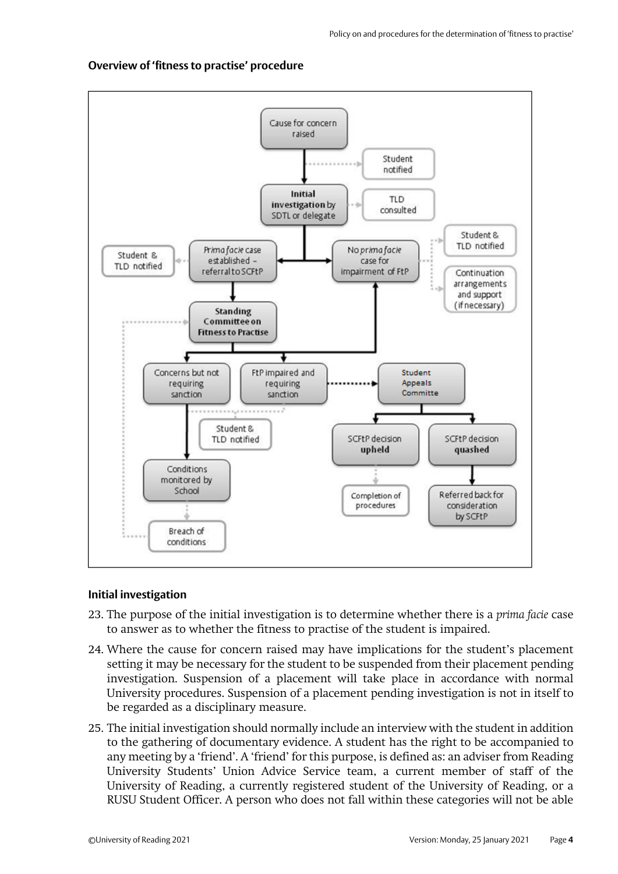#### **Overview of 'fitness to practise' procedure**



#### **Initial investigation**

- 23. The purpose of the initial investigation is to determine whether there is a *prima facie* case to answer as to whether the fitness to practise of the student is impaired.
- 24. Where the cause for concern raised may have implications for the student's placement setting it may be necessary for the student to be suspended from their placement pending investigation. Suspension of a placement will take place in accordance with normal University procedures. Suspension of a placement pending investigation is not in itself to be regarded as a disciplinary measure.
- 25. The initial investigation should normally include an interview with the student in addition to the gathering of documentary evidence. A student has the right to be accompanied to any meeting by a 'friend'. A 'friend' for this purpose, is defined as: an adviser from Reading University Students' Union Advice Service team, a current member of staff of the University of Reading, a currently registered student of the University of Reading, or a RUSU Student Officer. A person who does not fall within these categories will not be able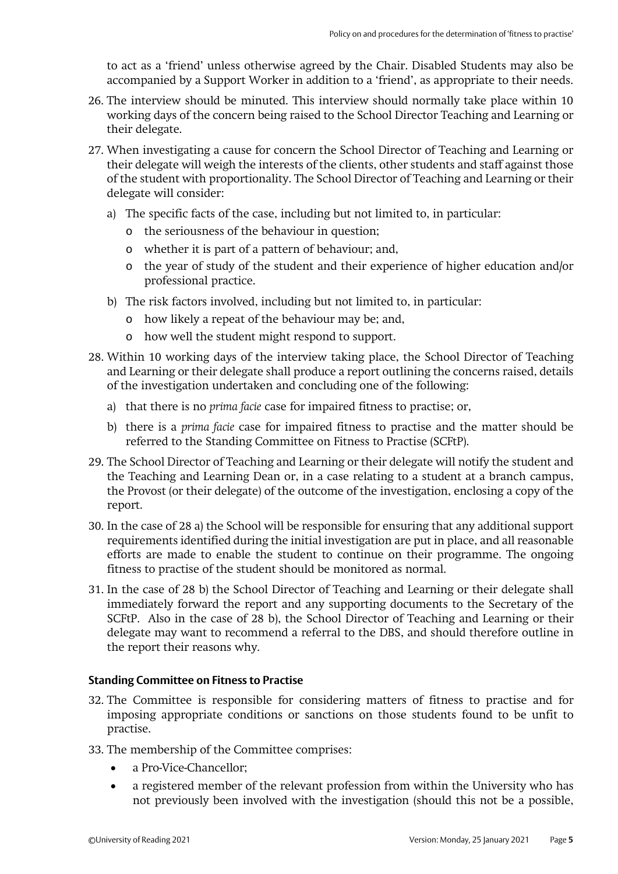to act as a 'friend' unless otherwise agreed by the Chair. Disabled Students may also be accompanied by a Support Worker in addition to a 'friend', as appropriate to their needs.

- 26. The interview should be minuted. This interview should normally take place within 10 working days of the concern being raised to the School Director Teaching and Learning or their delegate.
- 27. When investigating a cause for concern the School Director of Teaching and Learning or their delegate will weigh the interests of the clients, other students and staff against those of the student with proportionality. The School Director of Teaching and Learning or their delegate will consider:
	- a) The specific facts of the case, including but not limited to, in particular:
		- o the seriousness of the behaviour in question;
		- o whether it is part of a pattern of behaviour; and,
		- o the year of study of the student and their experience of higher education and/or professional practice.
	- b) The risk factors involved, including but not limited to, in particular:
		- o how likely a repeat of the behaviour may be; and,
		- o how well the student might respond to support.
- 28. Within 10 working days of the interview taking place, the School Director of Teaching and Learning or their delegate shall produce a report outlining the concerns raised, details of the investigation undertaken and concluding one of the following:
	- a) that there is no *prima facie* case for impaired fitness to practise; or,
	- b) there is a *prima facie* case for impaired fitness to practise and the matter should be referred to the Standing Committee on Fitness to Practise (SCFtP).
- 29. The School Director of Teaching and Learning or their delegate will notify the student and the Teaching and Learning Dean or, in a case relating to a student at a branch campus, the Provost (or their delegate) of the outcome of the investigation, enclosing a copy of the report.
- 30. In the case of 28 a) the School will be responsible for ensuring that any additional support requirements identified during the initial investigation are put in place, and all reasonable efforts are made to enable the student to continue on their programme. The ongoing fitness to practise of the student should be monitored as normal.
- 31. In the case of 28 b) the School Director of Teaching and Learning or their delegate shall immediately forward the report and any supporting documents to the Secretary of the SCFtP. Also in the case of 28 b), the School Director of Teaching and Learning or their delegate may want to recommend a referral to the DBS, and should therefore outline in the report their reasons why.

#### **Standing Committee on Fitness to Practise**

- 32. The Committee is responsible for considering matters of fitness to practise and for imposing appropriate conditions or sanctions on those students found to be unfit to practise.
- 33. The membership of the Committee comprises:
	- a Pro-Vice-Chancellor;
	- a registered member of the relevant profession from within the University who has not previously been involved with the investigation (should this not be a possible,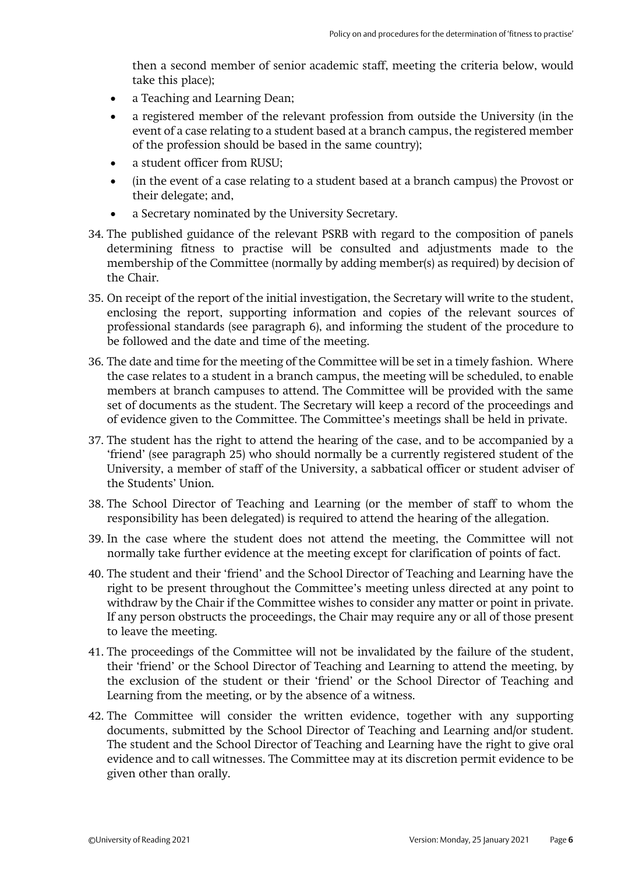then a second member of senior academic staff, meeting the criteria below, would take this place);

- a Teaching and Learning Dean;
- a registered member of the relevant profession from outside the University (in the event of a case relating to a student based at a branch campus, the registered member of the profession should be based in the same country);
- a student officer from RUSU;
- (in the event of a case relating to a student based at a branch campus) the Provost or their delegate; and,
- a Secretary nominated by the University Secretary.
- 34. The published guidance of the relevant PSRB with regard to the composition of panels determining fitness to practise will be consulted and adjustments made to the membership of the Committee (normally by adding member(s) as required) by decision of the Chair.
- 35. On receipt of the report of the initial investigation, the Secretary will write to the student, enclosing the report, supporting information and copies of the relevant sources of professional standards (see paragraph 6), and informing the student of the procedure to be followed and the date and time of the meeting.
- 36. The date and time for the meeting of the Committee will be set in a timely fashion. Where the case relates to a student in a branch campus, the meeting will be scheduled, to enable members at branch campuses to attend. The Committee will be provided with the same set of documents as the student. The Secretary will keep a record of the proceedings and of evidence given to the Committee. The Committee's meetings shall be held in private.
- 37. The student has the right to attend the hearing of the case, and to be accompanied by a 'friend' (see paragraph 25) who should normally be a currently registered student of the University, a member of staff of the University, a sabbatical officer or student adviser of the Students' Union.
- 38. The School Director of Teaching and Learning (or the member of staff to whom the responsibility has been delegated) is required to attend the hearing of the allegation.
- 39. In the case where the student does not attend the meeting, the Committee will not normally take further evidence at the meeting except for clarification of points of fact.
- 40. The student and their 'friend' and the School Director of Teaching and Learning have the right to be present throughout the Committee's meeting unless directed at any point to withdraw by the Chair if the Committee wishes to consider any matter or point in private. If any person obstructs the proceedings, the Chair may require any or all of those present to leave the meeting.
- 41. The proceedings of the Committee will not be invalidated by the failure of the student, their 'friend' or the School Director of Teaching and Learning to attend the meeting, by the exclusion of the student or their 'friend' or the School Director of Teaching and Learning from the meeting, or by the absence of a witness.
- 42. The Committee will consider the written evidence, together with any supporting documents, submitted by the School Director of Teaching and Learning and/or student. The student and the School Director of Teaching and Learning have the right to give oral evidence and to call witnesses. The Committee may at its discretion permit evidence to be given other than orally.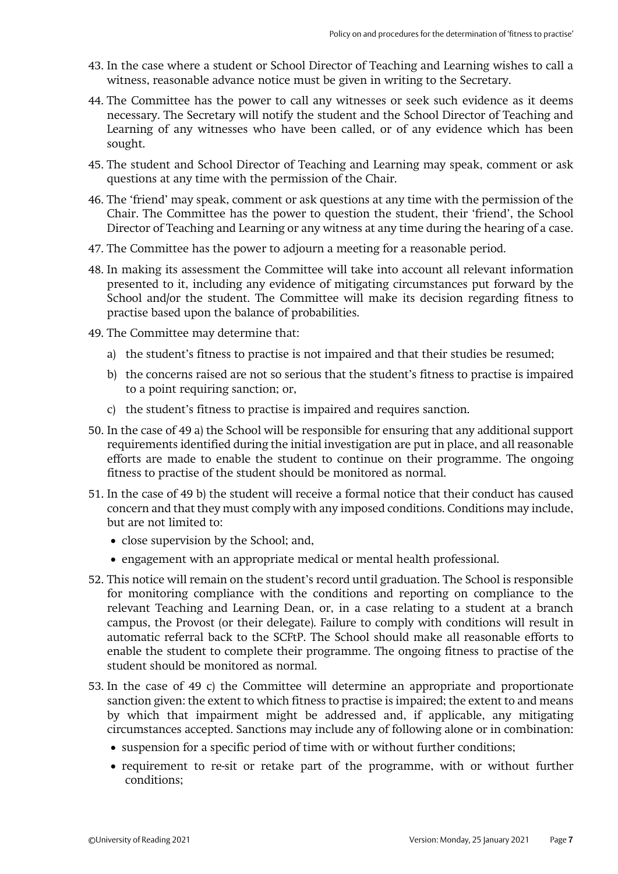- 43. In the case where a student or School Director of Teaching and Learning wishes to call a witness, reasonable advance notice must be given in writing to the Secretary.
- 44. The Committee has the power to call any witnesses or seek such evidence as it deems necessary. The Secretary will notify the student and the School Director of Teaching and Learning of any witnesses who have been called, or of any evidence which has been sought.
- 45. The student and School Director of Teaching and Learning may speak, comment or ask questions at any time with the permission of the Chair.
- 46. The 'friend' may speak, comment or ask questions at any time with the permission of the Chair. The Committee has the power to question the student, their 'friend', the School Director of Teaching and Learning or any witness at any time during the hearing of a case.
- 47. The Committee has the power to adjourn a meeting for a reasonable period.
- 48. In making its assessment the Committee will take into account all relevant information presented to it, including any evidence of mitigating circumstances put forward by the School and/or the student. The Committee will make its decision regarding fitness to practise based upon the balance of probabilities.
- 49. The Committee may determine that:
	- a) the student's fitness to practise is not impaired and that their studies be resumed;
	- b) the concerns raised are not so serious that the student's fitness to practise is impaired to a point requiring sanction; or,
	- c) the student's fitness to practise is impaired and requires sanction.
- 50. In the case of 49 a) the School will be responsible for ensuring that any additional support requirements identified during the initial investigation are put in place, and all reasonable efforts are made to enable the student to continue on their programme. The ongoing fitness to practise of the student should be monitored as normal.
- 51. In the case of 49 b) the student will receive a formal notice that their conduct has caused concern and that they must comply with any imposed conditions. Conditions may include, but are not limited to:
	- close supervision by the School; and,
	- engagement with an appropriate medical or mental health professional.
- 52. This notice will remain on the student's record until graduation. The School is responsible for monitoring compliance with the conditions and reporting on compliance to the relevant Teaching and Learning Dean, or, in a case relating to a student at a branch campus, the Provost (or their delegate). Failure to comply with conditions will result in automatic referral back to the SCFtP. The School should make all reasonable efforts to enable the student to complete their programme. The ongoing fitness to practise of the student should be monitored as normal.
- 53. In the case of 49 c) the Committee will determine an appropriate and proportionate sanction given: the extent to which fitness to practise is impaired; the extent to and means by which that impairment might be addressed and, if applicable, any mitigating circumstances accepted. Sanctions may include any of following alone or in combination:
	- suspension for a specific period of time with or without further conditions;
	- requirement to re-sit or retake part of the programme, with or without further conditions;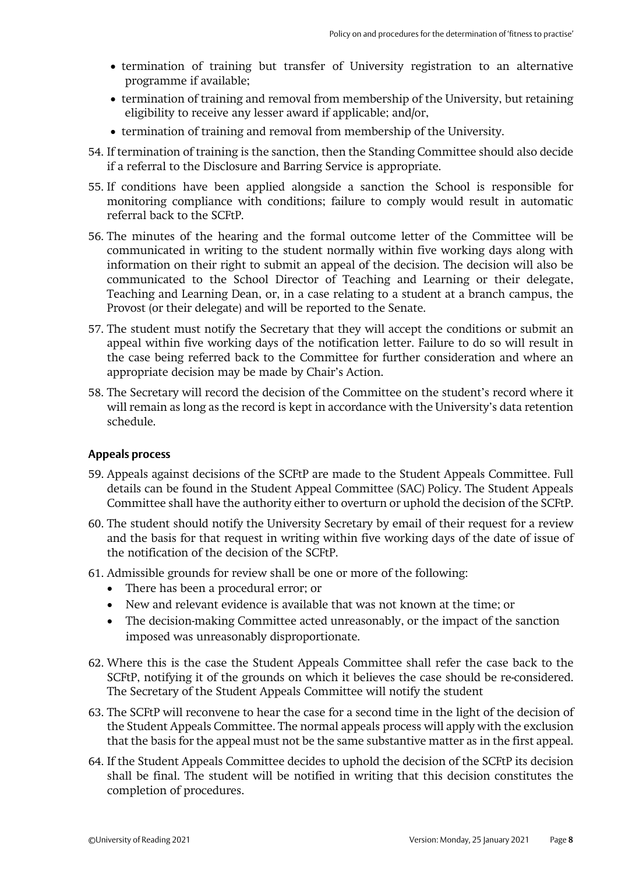- termination of training but transfer of University registration to an alternative programme if available;
- termination of training and removal from membership of the University, but retaining eligibility to receive any lesser award if applicable; and/or,
- termination of training and removal from membership of the University.
- 54. If termination of training is the sanction, then the Standing Committee should also decide if a referral to the Disclosure and Barring Service is appropriate.
- 55. If conditions have been applied alongside a sanction the School is responsible for monitoring compliance with conditions; failure to comply would result in automatic referral back to the SCFtP.
- 56. The minutes of the hearing and the formal outcome letter of the Committee will be communicated in writing to the student normally within five working days along with information on their right to submit an appeal of the decision. The decision will also be communicated to the School Director of Teaching and Learning or their delegate, Teaching and Learning Dean, or, in a case relating to a student at a branch campus, the Provost (or their delegate) and will be reported to the Senate.
- 57. The student must notify the Secretary that they will accept the conditions or submit an appeal within five working days of the notification letter. Failure to do so will result in the case being referred back to the Committee for further consideration and where an appropriate decision may be made by Chair's Action.
- 58. The Secretary will record the decision of the Committee on the student's record where it will remain as long as the record is kept in accordance with the University's data retention schedule.

#### **Appeals process**

- 59. Appeals against decisions of the SCFtP are made to the Student Appeals Committee. Full details can be found in the Student Appeal Committee (SAC) Policy. The Student Appeals Committee shall have the authority either to overturn or uphold the decision of the SCFtP.
- 60. The student should notify the University Secretary by email of their request for a review and the basis for that request in writing within five working days of the date of issue of the notification of the decision of the SCFtP.
- 61. Admissible grounds for review shall be one or more of the following:
	- There has been a procedural error; or
	- New and relevant evidence is available that was not known at the time; or
	- The decision-making Committee acted unreasonably, or the impact of the sanction imposed was unreasonably disproportionate.
- 62. Where this is the case the Student Appeals Committee shall refer the case back to the SCFtP, notifying it of the grounds on which it believes the case should be re-considered. The Secretary of the Student Appeals Committee will notify the student
- 63. The SCFtP will reconvene to hear the case for a second time in the light of the decision of the Student Appeals Committee. The normal appeals process will apply with the exclusion that the basis for the appeal must not be the same substantive matter as in the first appeal.
- 64. If the Student Appeals Committee decides to uphold the decision of the SCFtP its decision shall be final. The student will be notified in writing that this decision constitutes the completion of procedures.